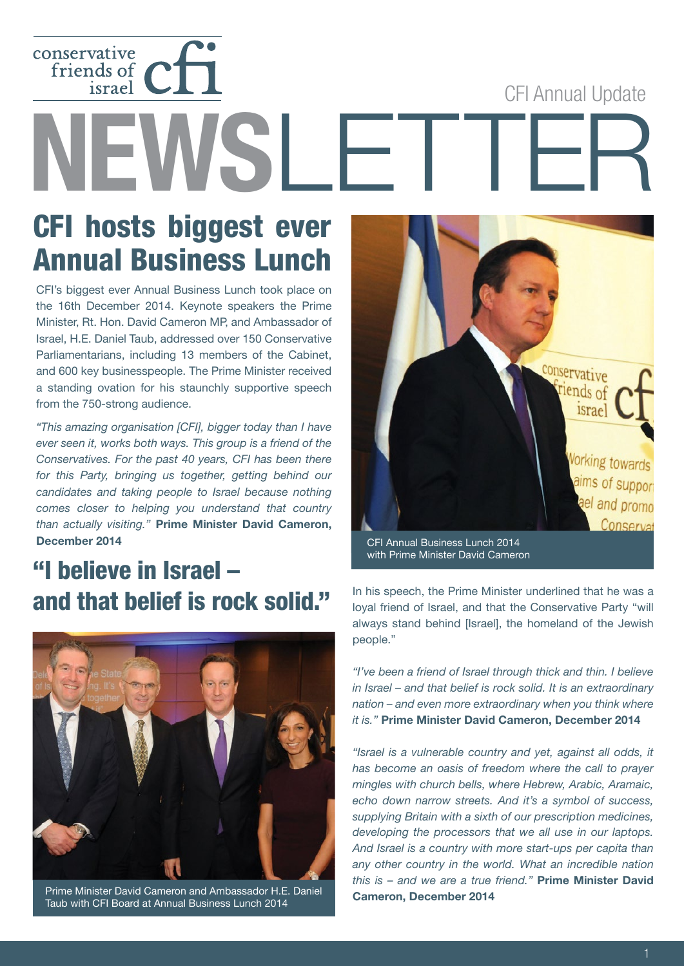CFI Annual Update

**NEWSLE** 

# CFI hosts biggest ever Annual Business Lunch

conservative<br>friends of<br>israel

CFI's biggest ever Annual Business Lunch took place on the 16th December 2014. Keynote speakers the Prime Minister, Rt. Hon. David Cameron MP, and Ambassador of Israel, H.E. Daniel Taub, addressed over 150 Conservative Parliamentarians, including 13 members of the Cabinet, and 600 key businesspeople. The Prime Minister received a standing ovation for his staunchly supportive speech from the 750-strong audience.

*"This amazing organisation [CFI], bigger today than I have ever seen it, works both ways. This group is a friend of the Conservatives. For the past 40 years, CFI has been there for this Party, bringing us together, getting behind our candidates and taking people to Israel because nothing comes closer to helping you understand that country than actually visiting."* **Prime Minister David Cameron, December 2014**

### "I believe in Israel – and that belief is rock solid."



Prime Minister David Cameron and Ambassador H.E. Daniel Taub with CFI Board at Annual Business Lunch 2014



CFI Annual Business Lunch 2014 with Prime Minister David Cameron

In his speech, the Prime Minister underlined that he was a loyal friend of Israel, and that the Conservative Party "will always stand behind [Israel], the homeland of the Jewish people."

*"I've been a friend of Israel through thick and thin. I believe in Israel – and that belief is rock solid. It is an extraordinary nation – and even more extraordinary when you think where it is."* **Prime Minister David Cameron, December 2014**

*"Israel is a vulnerable country and yet, against all odds, it has become an oasis of freedom where the call to prayer mingles with church bells, where Hebrew, Arabic, Aramaic, echo down narrow streets. And it's a symbol of success, supplying Britain with a sixth of our prescription medicines, developing the processors that we all use in our laptops. And Israel is a country with more start-ups per capita than any other country in the world. What an incredible nation this is – and we are a true friend."* **Prime Minister David Cameron, December 2014**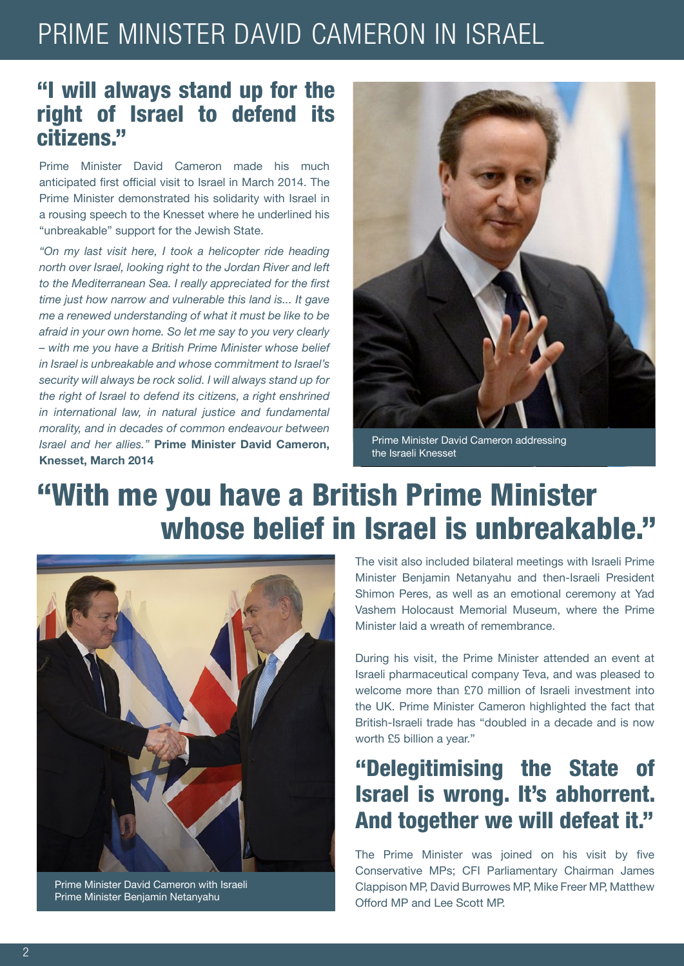## PRIME MINISTER DAVID CAMERON IN ISRAEL

### "I will always stand up for the right of Israel to defend its citizens."

Prime Minister David Cameron made his much anticipated first official visit to Israel in March 2014. The Prime Minister demonstrated his solidarity with Israel in a rousing speech to the Knesset where he underlined his "unbreakable" support for the Jewish State.

*"On my last visit here, I took a helicopter ride heading north over Israel, looking right to the Jordan River and left to the Mediterranean Sea. I really appreciated for the first time just how narrow and vulnerable this land is... It gave me a renewed understanding of what it must be like to be afraid in your own home. So let me say to you very clearly – with me you have a British Prime Minister whose belief in Israel is unbreakable and whose commitment to Israel's security will always be rock solid. I will always stand up for the right of Israel to defend its citizens, a right enshrined in international law, in natural justice and fundamental morality, and in decades of common endeavour between Israel and her allies."* **Prime Minister David Cameron, Knesset, March 2014**



Prime Minister David Cameron addressing the Israeli Knesset

# "With me you have a British Prime Minister whose belief in Israel is unbreakable."



Prime Minister David Cameron with Israeli Prime Minister Benjamin Netanyahu

The visit also included bilateral meetings with Israeli Prime Minister Benjamin Netanyahu and then-Israeli President Shimon Peres, as well as an emotional ceremony at Yad Vashem Holocaust Memorial Museum, where the Prime Minister laid a wreath of remembrance.

During his visit, the Prime Minister attended an event at Israeli pharmaceutical company Teva, and was pleased to welcome more than £70 million of Israeli investment into the UK. Prime Minister Cameron highlighted the fact that British-Israeli trade has "doubled in a decade and is now worth £5 billion a year."

### "Delegitimising the State of Israel is wrong. It's abhorrent. And together we will defeat it."

The Prime Minister was joined on his visit by five Conservative MPs; CFI Parliamentary Chairman James Clappison MP, David Burrowes MP, Mike Freer MP, Matthew Offord MP and Lee Scott MP.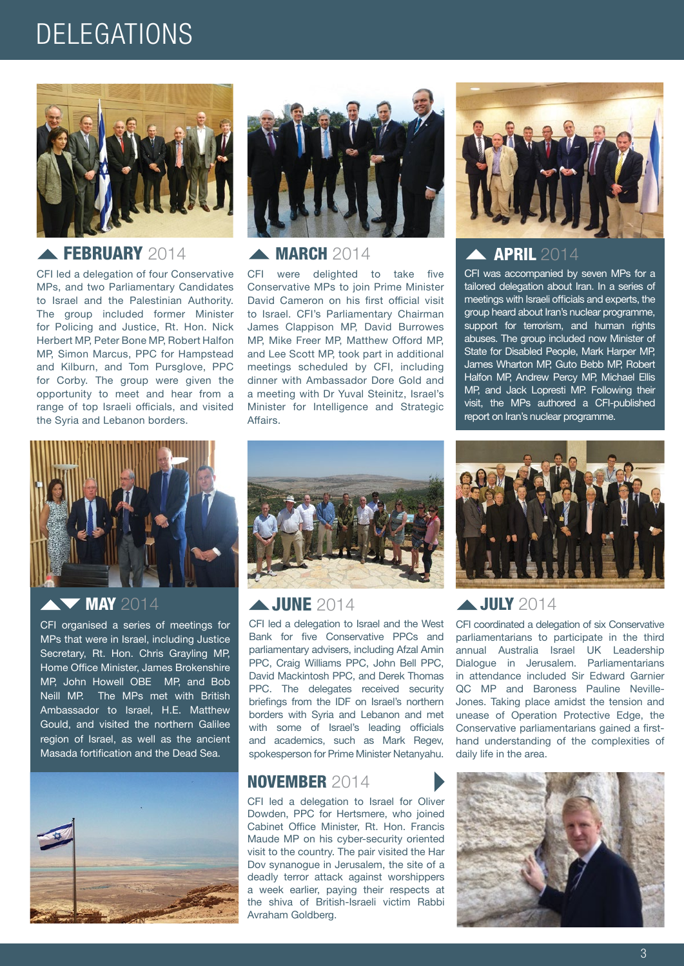### DELEGATIONS



#### FEBRUARY 2014

CFI led a delegation of four Conservative MPs, and two Parliamentary Candidates to Israel and the Palestinian Authority. The group included former Minister for Policing and Justice, Rt. Hon. Nick Herbert MP, Peter Bone MP, Robert Halfon MP, Simon Marcus, PPC for Hampstead and Kilburn, and Tom Pursglove, PPC for Corby. The group were given the opportunity to meet and hear from a range of top Israeli officials, and visited the Syria and Lebanon borders.



#### **MARCH 2014**

CFI were delighted to take five Conservative MPs to join Prime Minister David Cameron on his first official visit to Israel. CFI's Parliamentary Chairman James Clappison MP, David Burrowes MP, Mike Freer MP, Matthew Offord MP, and Lee Scott MP, took part in additional meetings scheduled by CFI, including dinner with Ambassador Dore Gold and a meeting with Dr Yuval Steinitz, Israel's Minister for Intelligence and Strategic Affairs.



#### APRIL 2014

CFI was accompanied by seven MPs for a tailored delegation about Iran. In a series of meetings with Israeli officials and experts, the group heard about Iran's nuclear programme, support for terrorism, and human rights abuses. The group included now Minister of State for Disabled People, Mark Harper MP, James Wharton MP, Guto Bebb MP, Robert Halfon MP, Andrew Percy MP, Michael Ellis MP, and Jack Lopresti MP. Following their visit, the MPs authored a CFI-published report on Iran's nuclear programme.



#### $\sqrt{MAY}$  2014

CFI organised a series of meetings for MPs that were in Israel, including Justice Secretary, Rt. Hon. Chris Grayling MP, Home Office Minister, James Brokenshire MP, John Howell OBE MP, and Bob Neill MP. The MPs met with British Ambassador to Israel, H.E. Matthew Gould, and visited the northern Galilee region of Israel, as well as the ancient Masada fortification and the Dead Sea.





#### **JUNE 2014**

CFI led a delegation to Israel and the West Bank for five Conservative PPCs and parliamentary advisers, including Afzal Amin PPC, Craig Williams PPC, John Bell PPC, David Mackintosh PPC, and Derek Thomas PPC. The delegates received security briefings from the IDF on Israel's northern borders with Syria and Lebanon and met with some of Israel's leading officials and academics, such as Mark Regev, spokesperson for Prime Minister Netanyahu.

### NOVEMBER 2014

CFI led a delegation to Israel for Oliver Dowden, PPC for Hertsmere, who joined Cabinet Office Minister, Rt. Hon. Francis Maude MP on his cyber-security oriented visit to the country. The pair visited the Har Dov synanogue in Jerusalem, the site of a deadly terror attack against worshippers a week earlier, paying their respects at the shiva of British-Israeli victim Rabbi Avraham Goldberg.



#### **JULY** 2014

CFI coordinated a delegation of six Conservative parliamentarians to participate in the third annual Australia Israel UK Leadership Dialogue in Jerusalem. Parliamentarians in attendance included Sir Edward Garnier QC MP and Baroness Pauline Neville-Jones. Taking place amidst the tension and unease of Operation Protective Edge, the Conservative parliamentarians gained a firsthand understanding of the complexities of daily life in the area.